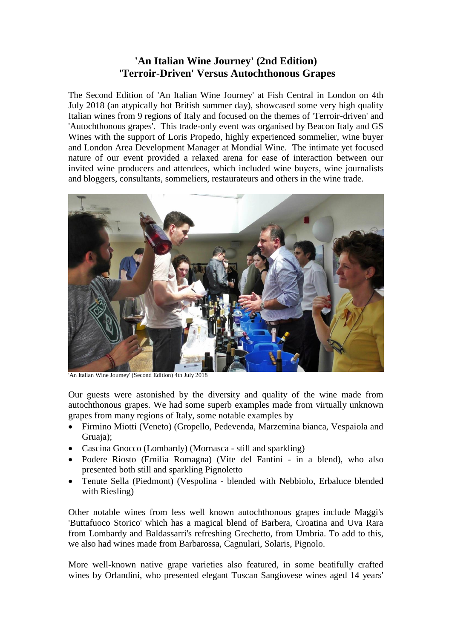## **'An Italian Wine Journey' (2nd Edition) 'Terroir-Driven' Versus Autochthonous Grapes**

The Second Edition of 'An Italian Wine Journey' at Fish Central in London on 4th July 2018 (an atypically hot British summer day), showcased some very high quality Italian wines from 9 regions of Italy and focused on the themes of 'Terroir-driven' and 'Autochthonous grapes'. This trade-only event was organised by Beacon Italy and GS Wines with the support of Loris Propedo, highly experienced sommelier, wine buyer and London Area Development Manager at Mondial Wine. The intimate yet focused nature of our event provided a relaxed arena for ease of interaction between our invited wine producers and attendees, which included wine buyers, wine journalists and bloggers, consultants, sommeliers, restaurateurs and others in the wine trade.



'An Italian Wine Journey' (Second Edition) 4th July 2018

Our guests were astonished by the diversity and quality of the wine made from autochthonous grapes. We had some superb examples made from virtually unknown grapes from many regions of Italy, some notable examples by

- Firmino Miotti (Veneto) (Gropello, Pedevenda, Marzemina bianca, Vespaiola and Gruaia):
- Cascina Gnocco (Lombardy) (Mornasca still and sparkling)
- Podere Riosto (Emilia Romagna) (Vite del Fantini in a blend), who also presented both still and sparkling Pignoletto
- Tenute Sella (Piedmont) (Vespolina blended with Nebbiolo, Erbaluce blended with Riesling)

Other notable wines from less well known autochthonous grapes include Maggi's 'Buttafuoco Storico' which has a magical blend of Barbera, Croatina and Uva Rara from Lombardy and Baldassarri's refreshing Grechetto, from Umbria. To add to this, we also had wines made from Barbarossa, Cagnulari, Solaris, Pignolo.

More well-known native grape varieties also featured, in some beatifully crafted wines by Orlandini, who presented elegant Tuscan Sangiovese wines aged 14 years'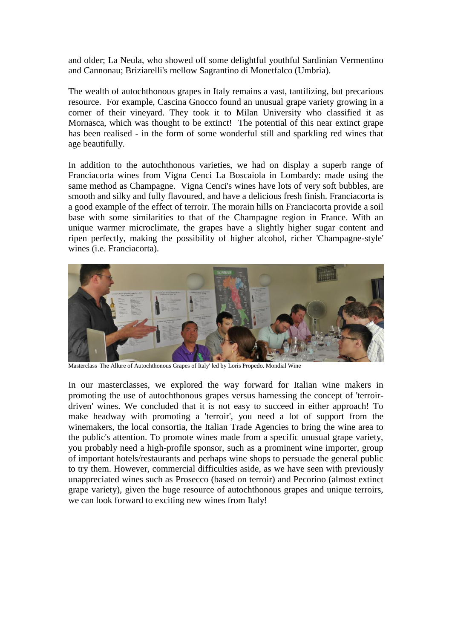and older; La Neula, who showed off some delightful youthful Sardinian Vermentino and Cannonau; Briziarelli's mellow Sagrantino di Monetfalco (Umbria).

The wealth of autochthonous grapes in Italy remains a vast, tantilizing, but precarious resource. For example, Cascina Gnocco found an unusual grape variety growing in a corner of their vineyard. They took it to Milan University who classified it as Mornasca, which was thought to be extinct! The potential of this near extinct grape has been realised - in the form of some wonderful still and sparkling red wines that age beautifully.

In addition to the autochthonous varieties, we had on display a superb range of Franciacorta wines from Vigna Cenci La Boscaiola in Lombardy: made using the same method as Champagne. Vigna Cenci's wines have lots of very soft bubbles, are smooth and silky and fully flavoured, and have a delicious fresh finish. Franciacorta is a good example of the effect of terroir. The morain hills on Franciacorta provide a soil base with some similarities to that of the Champagne region in France. With an unique warmer microclimate, the grapes have a slightly higher sugar content and ripen perfectly, making the possibility of higher alcohol, richer 'Champagne-style' wines (i.e. Franciacorta).



Masterclass 'The Allure of Autochthonous Grapes of Italy' led by Loris Propedo. Mondial Wine

In our masterclasses, we explored the way forward for Italian wine makers in promoting the use of autochthonous grapes versus harnessing the concept of 'terroirdriven' wines. We concluded that it is not easy to succeed in either approach! To make headway with promoting a 'terroir', you need a lot of support from the winemakers, the local consortia, the Italian Trade Agencies to bring the wine area to the public's attention. To promote wines made from a specific unusual grape variety, you probably need a high-profile sponsor, such as a prominent wine importer, group of important hotels/restaurants and perhaps wine shops to persuade the general public to try them. However, commercial difficulties aside, as we have seen with previously unappreciated wines such as Prosecco (based on terroir) and Pecorino (almost extinct grape variety), given the huge resource of autochthonous grapes and unique terroirs, we can look forward to exciting new wines from Italy!